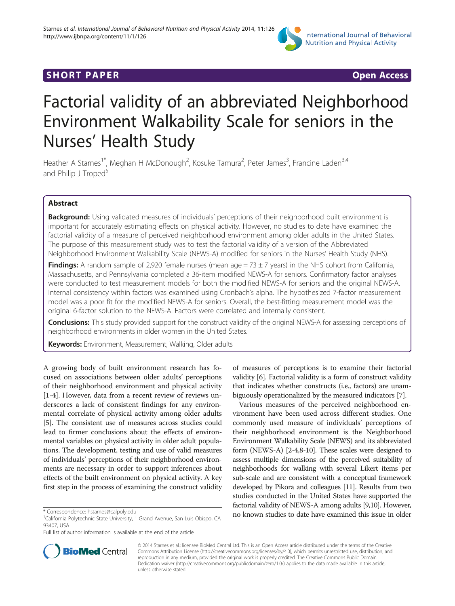

# **SHORT PAPER SHORT PAPER CONSTRUCTER CONSTRUCTER CONSTRUCTER CONSTRUCTER**



# Factorial validity of an abbreviated Neighborhood Environment Walkability Scale for seniors in the Nurses' Health Study

Heather A Starnes<sup>1\*</sup>, Meghan H McDonough<sup>2</sup>, Kosuke Tamura<sup>2</sup>, Peter James<sup>3</sup>, Francine Laden<sup>3,4</sup> and Philip J Troped<sup>5</sup>

# Abstract

**Background:** Using validated measures of individuals' perceptions of their neighborhood built environment is important for accurately estimating effects on physical activity. However, no studies to date have examined the factorial validity of a measure of perceived neighborhood environment among older adults in the United States. The purpose of this measurement study was to test the factorial validity of a version of the Abbreviated Neighborhood Environment Walkability Scale (NEWS-A) modified for seniors in the Nurses' Health Study (NHS).

**Findings:** A random sample of 2,920 female nurses (mean age = 73  $\pm$  7 years) in the NHS cohort from California, Massachusetts, and Pennsylvania completed a 36-item modified NEWS-A for seniors. Confirmatory factor analyses were conducted to test measurement models for both the modified NEWS-A for seniors and the original NEWS-A. Internal consistency within factors was examined using Cronbach's alpha. The hypothesized 7-factor measurement model was a poor fit for the modified NEWS-A for seniors. Overall, the best-fitting measurement model was the original 6-factor solution to the NEWS-A. Factors were correlated and internally consistent.

Conclusions: This study provided support for the construct validity of the original NEWS-A for assessing perceptions of neighborhood environments in older women in the United States.

Keywords: Environment, Measurement, Walking, Older adults

A growing body of built environment research has focused on associations between older adults' perceptions of their neighborhood environment and physical activity [[1-4](#page-5-0)]. However, data from a recent review of reviews underscores a lack of consistent findings for any environmental correlate of physical activity among older adults [[5\]](#page-5-0). The consistent use of measures across studies could lead to firmer conclusions about the effects of environmental variables on physical activity in older adult populations. The development, testing and use of valid measures of individuals' perceptions of their neighborhood environments are necessary in order to support inferences about effects of the built environment on physical activity. A key first step in the process of examining the construct validity

of measures of perceptions is to examine their factorial validity [\[6](#page-5-0)]. Factorial validity is a form of construct validity that indicates whether constructs (i.e., factors) are unambiguously operationalized by the measured indicators [\[7](#page-5-0)].

Various measures of the perceived neighborhood environment have been used across different studies. One commonly used measure of individuals' perceptions of their neighborhood environment is the Neighborhood Environment Walkability Scale (NEWS) and its abbreviated form (NEWS-A) [\[2-4,8-10\]](#page-5-0). These scales were designed to assess multiple dimensions of the perceived suitability of neighborhoods for walking with several Likert items per sub-scale and are consistent with a conceptual framework developed by Pikora and colleagues [\[11\]](#page-5-0). Results from two studies conducted in the United States have supported the factorial validity of NEWS-A among adults [\[9,10](#page-5-0)]. However, \* Correspondence: [hstarnes@calpoly.edu](mailto:hstarnes@calpoly.edu) 100 no known studies to date have examined this issue in older



© 2014 Starnes et al.; licensee BioMed Central Ltd. This is an Open Access article distributed under the terms of the Creative Commons Attribution License [\(http://creativecommons.org/licenses/by/4.0\)](http://creativecommons.org/licenses/by/4.0), which permits unrestricted use, distribution, and reproduction in any medium, provided the original work is properly credited. The Creative Commons Public Domain Dedication waiver [\(http://creativecommons.org/publicdomain/zero/1.0/](http://creativecommons.org/publicdomain/zero/1.0/)) applies to the data made available in this article, unless otherwise stated.

<sup>&</sup>lt;sup>1</sup>California Polytechnic State University, 1 Grand Avenue, San Luis Obispo, CA 93407, USA

Full list of author information is available at the end of the article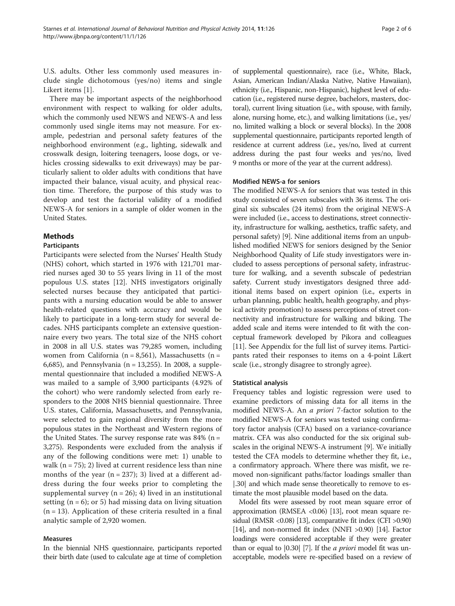U.S. adults. Other less commonly used measures include single dichotomous (yes/no) items and single Likert items [[1\]](#page-5-0).

There may be important aspects of the neighborhood environment with respect to walking for older adults, which the commonly used NEWS and NEWS-A and less commonly used single items may not measure. For example, pedestrian and personal safety features of the neighborhood environment (e.g., lighting, sidewalk and crosswalk design, loitering teenagers, loose dogs, or vehicles crossing sidewalks to exit driveways) may be particularly salient to older adults with conditions that have impacted their balance, visual acuity, and physical reaction time. Therefore, the purpose of this study was to develop and test the factorial validity of a modified NEWS-A for seniors in a sample of older women in the United States.

#### Methods

#### Participants

Participants were selected from the Nurses' Health Study (NHS) cohort, which started in 1976 with 121,701 married nurses aged 30 to 55 years living in 11 of the most populous U.S. states [\[12](#page-5-0)]. NHS investigators originally selected nurses because they anticipated that participants with a nursing education would be able to answer health-related questions with accuracy and would be likely to participate in a long-term study for several decades. NHS participants complete an extensive questionnaire every two years. The total size of the NHS cohort in 2008 in all U.S. states was 79,285 women, including women from California ( $n = 8,561$ ), Massachusetts ( $n =$ 6,685), and Pennsylvania (n = 13,255). In 2008, a supplemental questionnaire that included a modified NEWS-A was mailed to a sample of 3,900 participants (4.92% of the cohort) who were randomly selected from early responders to the 2008 NHS biennial questionnaire. Three U.S. states, California, Massachusetts, and Pennsylvania, were selected to gain regional diversity from the more populous states in the Northeast and Western regions of the United States. The survey response rate was  $84\%$  (n = 3,275). Respondents were excluded from the analysis if any of the following conditions were met: 1) unable to walk ( $n = 75$ ); 2) lived at current residence less than nine months of the year  $(n = 237)$ ; 3) lived at a different address during the four weeks prior to completing the supplemental survey ( $n = 26$ ); 4) lived in an institutional setting  $(n = 6)$ ; or 5) had missing data on living situation  $(n = 13)$ . Application of these criteria resulted in a final analytic sample of 2,920 women.

#### Measures

In the biennial NHS questionnaire, participants reported their birth date (used to calculate age at time of completion of supplemental questionnaire), race (i.e., White, Black, Asian, American Indian/Alaska Native, Native Hawaiian), ethnicity (i.e., Hispanic, non-Hispanic), highest level of education (i.e., registered nurse degree, bachelors, masters, doctoral), current living situation (i.e., with spouse, with family, alone, nursing home, etc.), and walking limitations (i.e., yes/ no, limited walking a block or several blocks). In the 2008 supplemental questionnaire, participants reported length of residence at current address (i.e., yes/no, lived at current address during the past four weeks and yes/no, lived 9 months or more of the year at the current address).

#### Modified NEWS-a for seniors

The modified NEWS-A for seniors that was tested in this study consisted of seven subscales with 36 items. The original six subscales (24 items) from the original NEWS-A were included (i.e., access to destinations, street connectivity, infrastructure for walking, aesthetics, traffic safety, and personal safety) [[9](#page-5-0)]. Nine additional items from an unpublished modified NEWS for seniors designed by the Senior Neighborhood Quality of Life study investigators were included to assess perceptions of personal safety, infrastructure for walking, and a seventh subscale of pedestrian safety. Current study investigators designed three additional items based on expert opinion (i.e., experts in urban planning, public health, health geography, and physical activity promotion) to assess perceptions of street connectivity and infrastructure for walking and biking. The added scale and items were intended to fit with the conceptual framework developed by Pikora and colleagues [[11](#page-5-0)]. See [Appendix](#page-4-0) for the full list of survey items. Participants rated their responses to items on a 4-point Likert scale (i.e., strongly disagree to strongly agree).

#### Statistical analysis

Frequency tables and logistic regression were used to examine predictors of missing data for all items in the modified NEWS-A. An a priori 7-factor solution to the modified NEWS-A for seniors was tested using confirmatory factor analysis (CFA) based on a variance-covariance matrix. CFA was also conducted for the six original subscales in the original NEWS-A instrument [[9](#page-5-0)]. We initially tested the CFA models to determine whether they fit, i.e., a confirmatory approach. Where there was misfit, we removed non-significant paths/factor loadings smaller than |.30| and which made sense theoretically to remove to estimate the most plausible model based on the data.

Model fits were assessed by root mean square error of approximation (RMSEA <0.06) [\[13](#page-5-0)], root mean square residual (RMSR <0.08) [\[13\]](#page-5-0), comparative fit index (CFI >0.90) [[14](#page-5-0)], and non-normed fit index (NNFI >0.90) [[14](#page-5-0)]. Factor loadings were considered acceptable if they were greater than or equal to  $|0.30|$  [\[7](#page-5-0)]. If the *a priori* model fit was unacceptable, models were re-specified based on a review of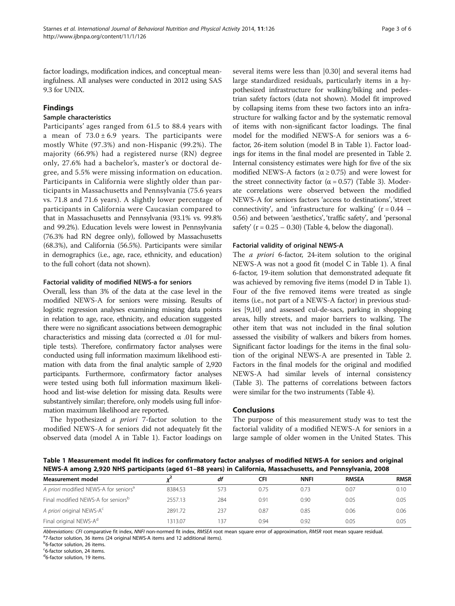factor loadings, modification indices, and conceptual meaningfulness. All analyses were conducted in 2012 using SAS 9.3 for UNIX.

# Findings

#### Sample characteristics

Participants' ages ranged from 61.5 to 88.4 years with a mean of  $73.0 \pm 6.9$  years. The participants were mostly White (97.3%) and non-Hispanic (99.2%). The majority (66.9%) had a registered nurse (RN) degree only, 27.6% had a bachelor's, master's or doctoral degree, and 5.5% were missing information on education. Participants in California were slightly older than participants in Massachusetts and Pennsylvania (75.6 years vs. 71.8 and 71.6 years). A slightly lower percentage of participants in California were Caucasian compared to that in Massachusetts and Pennsylvania (93.1% vs. 99.8% and 99.2%). Education levels were lowest in Pennsylvania (76.3% had RN degree only), followed by Massachusetts (68.3%), and California (56.5%). Participants were similar in demographics (i.e., age, race, ethnicity, and education) to the full cohort (data not shown).

#### Factorial validity of modified NEWS-a for seniors

Overall, less than 3% of the data at the case level in the modified NEWS-A for seniors were missing. Results of logistic regression analyses examining missing data points in relation to age, race, ethnicity, and education suggested there were no significant associations between demographic characteristics and missing data (corrected  $\alpha$  .01 for multiple tests). Therefore, confirmatory factor analyses were conducted using full information maximum likelihood estimation with data from the final analytic sample of 2,920 participants. Furthermore, confirmatory factor analyses were tested using both full information maximum likelihood and list-wise deletion for missing data. Results were substantively similar; therefore, only models using full information maximum likelihood are reported.

The hypothesized *a priori* 7-factor solution to the modified NEWS-A for seniors did not adequately fit the observed data (model A in Table 1). Factor loadings on

several items were less than |0.30| and several items had large standardized residuals, particularly items in a hypothesized infrastructure for walking/biking and pedestrian safety factors (data not shown). Model fit improved by collapsing items from these two factors into an infrastructure for walking factor and by the systematic removal of items with non-significant factor loadings. The final model for the modified NEWS-A for seniors was a 6 factor, 26-item solution (model B in Table 1). Factor loadings for items in the final model are presented in Table [2](#page-3-0). Internal consistency estimates were high for five of the six modified NEWS-A factors ( $\alpha \ge 0.75$ ) and were lowest for the street connectivity factor ( $α = 0.57$ ) (Table [3](#page-4-0)). Moderate correlations were observed between the modified NEWS-A for seniors factors 'access to destinations', 'street connectivity', and 'infrastructure for walking'  $(r = 0.44 -$ 0.56) and between 'aesthetics', 'traffic safety', and 'personal safety'  $(r = 0.25 - 0.30)$  (Table [4,](#page-4-0) below the diagonal).

# Factorial validity of original NEWS-A

The *a priori* 6-factor, 24-item solution to the original NEWS-A was not a good fit (model C in Table 1). A final 6-factor, 19-item solution that demonstrated adequate fit was achieved by removing five items (model D in Table 1). Four of the five removed items were treated as single items (i.e., not part of a NEWS-A factor) in previous studies [[9,10](#page-5-0)] and assessed cul-de-sacs, parking in shopping areas, hilly streets, and major barriers to walking. The other item that was not included in the final solution assessed the visibility of walkers and bikers from homes. Significant factor loadings for the items in the final solution of the original NEWS-A are presented in Table [2](#page-3-0). Factors in the final models for the original and modified NEWS-A had similar levels of internal consistency (Table [3](#page-4-0)). The patterns of correlations between factors were similar for the two instruments (Table [4](#page-4-0)).

# Conclusions

The purpose of this measurement study was to test the factorial validity of a modified NEWS-A for seniors in a large sample of older women in the United States. This

Table 1 Measurement model fit indices for confirmatory factor analyses of modified NEWS-A for seniors and original NEWS-A among 2,920 NHS participants (aged 61–88 years) in California, Massachusetts, and Pennsylvania, 2008

| Measurement model                                 |         | df  | CFI  | <b>NNFI</b> | <b>RMSEA</b> | <b>RMSR</b> |
|---------------------------------------------------|---------|-----|------|-------------|--------------|-------------|
| A priori modified NEWS-A for seniors <sup>a</sup> | 8384.53 | 573 | 0.75 | 0.73        | 0.07         | 0.10        |
| Final modified NEWS-A for seniors <sup>b</sup>    | 2557.13 | 284 | 0.91 | 0.90        | 0.05         | 0.05        |
| A priori original NEWS-A <sup>c</sup>             | 2891.72 | 237 | 0.87 | 0.85        | 0.06         | 0.06        |
| Final original NEWS-A <sup>d</sup>                | 1313.07 | 137 | 0.94 | 0.92        | 0.05         | 0.05        |

Abbreviations: CFI comparative fit index, NNFI non-normed fit index, RMSEA root mean square error of approximation, RMSR root mean square residual. <sup>a</sup>7-factor solution, 36 items (24 original NEWS-A items and 12 additional items).

<sup>b</sup>6-factor solution, 26 items.

<sup>c</sup>6-factor solution, 24 items.

<sup>d</sup>6-factor solution, 19 items.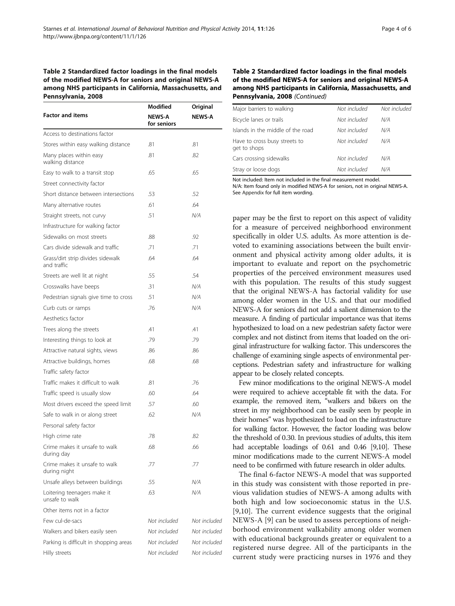## <span id="page-3-0"></span>Table 2 Standardized factor loadings in the final models of the modified NEWS-A for seniors and original NEWS-A among NHS participants in California, Massachusetts, and Pennsylvania, 2008

| <b>Factor and items</b>                          | Modified                     | Original<br><b>NEWS-A</b> |  |
|--------------------------------------------------|------------------------------|---------------------------|--|
|                                                  | <b>NEWS-A</b><br>for seniors |                           |  |
| Access to destinations factor                    |                              |                           |  |
| Stores within easy walking distance              | .81                          | .81                       |  |
| Many places within easy<br>walking distance      | .81                          | .82                       |  |
| Easy to walk to a transit stop                   | .65                          | .65                       |  |
| Street connectivity factor                       |                              |                           |  |
| Short distance between intersections             | .53                          | .52                       |  |
| Many alternative routes                          | .61                          | .64                       |  |
| Straight streets, not curvy                      | .51                          | N/A                       |  |
| Infrastructure for walking factor                |                              |                           |  |
| Sidewalks on most streets                        | .88                          | .92                       |  |
| Cars divide sidewalk and traffic                 | .71                          | .71                       |  |
| Grass/dirt strip divides sidewalk<br>and traffic | .64                          | .64                       |  |
| Streets are well lit at night                    | .55                          | .54                       |  |
| Crosswalks have beeps                            | .31                          | N/A                       |  |
| Pedestrian signals give time to cross            | .51                          | N/A                       |  |
| Curb cuts or ramps                               | .76                          | N/A                       |  |
| Aesthetics factor                                |                              |                           |  |
| Trees along the streets                          | .41                          | .41                       |  |
| Interesting things to look at                    | .79                          | .79                       |  |
| Attractive natural sights, views                 | .86                          | .86                       |  |
| Attractive buildings, homes                      | .68                          | .68                       |  |
| Traffic safety factor                            |                              |                           |  |
| Traffic makes it difficult to walk               | .81                          | .76                       |  |
| Traffic speed is usually slow                    | .60                          | .64                       |  |
| Most drivers exceed the speed limit              | .57                          | .60                       |  |
| Safe to walk in or along street                  | .62                          | N/A                       |  |
| Personal safety factor                           |                              |                           |  |
| High crime rate                                  | .78                          | .82                       |  |
| Crime makes it unsafe to walk<br>during day      | .68                          | .66                       |  |
| Crime makes it unsafe to walk<br>during night    | .77                          | .77                       |  |
| Unsafe alleys between buildings                  | .55                          | N/A                       |  |
| Loitering teenagers make it<br>unsafe to walk    | .63                          | N/A                       |  |
| Other items not in a factor                      |                              |                           |  |
| Few cul-de-sacs                                  | Not included                 | Not included              |  |
| Walkers and bikers easily seen                   | Not included                 | Not includea              |  |
| Parking is difficult in shopping areas           | Not included                 | Not includea              |  |
| Hilly streets                                    | Not included                 | Not includea              |  |

Table 2 Standardized factor loadings in the final models of the modified NEWS-A for seniors and original NEWS-A among NHS participants in California, Massachusetts, and Pennsylvania, 2008 (Continued)

| Major barriers to walking                     | Not included | Not included |
|-----------------------------------------------|--------------|--------------|
| Bicycle lanes or trails                       | Not included | N/A          |
| Islands in the middle of the road             | Not included | N/A          |
| Have to cross busy streets to<br>get to shops | Not included | N/A          |
| Cars crossing sidewalks                       | Not included | N/A          |
| Stray or loose dogs                           | Not included | N/A          |

Not included: Item not included in the final measurement model.

N/A: Item found only in modified NEWS-A for seniors, not in original NEWS-A. See [Appendix](#page-4-0) for full item wording.

paper may be the first to report on this aspect of validity for a measure of perceived neighborhood environment specifically in older U.S. adults. As more attention is devoted to examining associations between the built environment and physical activity among older adults, it is important to evaluate and report on the psychometric properties of the perceived environment measures used with this population. The results of this study suggest that the original NEWS-A has factorial validity for use among older women in the U.S. and that our modified NEWS-A for seniors did not add a salient dimension to the measure. A finding of particular importance was that items hypothesized to load on a new pedestrian safety factor were complex and not distinct from items that loaded on the original infrastructure for walking factor. This underscores the challenge of examining single aspects of environmental perceptions. Pedestrian safety and infrastructure for walking appear to be closely related concepts.

Few minor modifications to the original NEWS-A model were required to achieve acceptable fit with the data. For example, the removed item, "walkers and bikers on the street in my neighborhood can be easily seen by people in their homes" was hypothesized to load on the infrastructure for walking factor. However, the factor loading was below the threshold of 0.30. In previous studies of adults, this item had acceptable loadings of 0.61 and 0.46 [\[9,10](#page-5-0)]. These minor modifications made to the current NEWS-A model need to be confirmed with future research in older adults.

The final 6-factor NEWS-A model that was supported in this study was consistent with those reported in previous validation studies of NEWS-A among adults with both high and low socioeconomic status in the U.S. [[9,10](#page-5-0)]. The current evidence suggests that the original NEWS-A [[9\]](#page-5-0) can be used to assess perceptions of neighborhood environment walkability among older women with educational backgrounds greater or equivalent to a registered nurse degree. All of the participants in the current study were practicing nurses in 1976 and they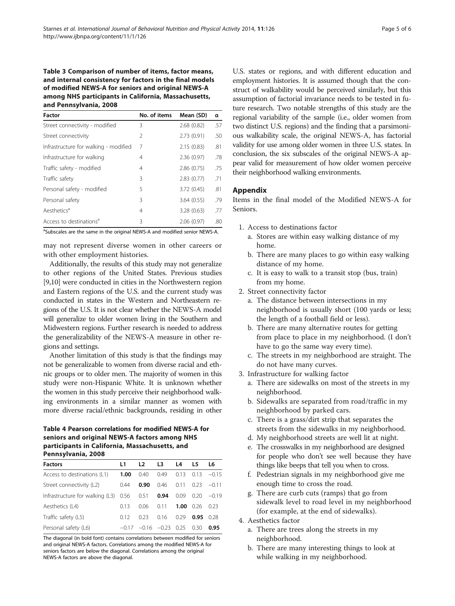## <span id="page-4-0"></span>Table 3 Comparison of number of items, factor means, and internal consistency for factors in the final models of modified NEWS-A for seniors and original NEWS-A among NHS participants in California, Massachusetts, and Pennsylvania, 2008

| Factor                                | No. of items | Mean (SD)  | α   |
|---------------------------------------|--------------|------------|-----|
| Street connectivity - modified        | 3            | 2.68(0.82) | .57 |
| Street connectivity                   | 2            | 2.73(0.91) | .50 |
| Infrastructure for walking - modified | 7            | 2.15(0.83) | .81 |
| Infrastructure for walking            | 4            | 2.36(0.97) | .78 |
| Traffic safety - modified             | 4            | 2.86(0.75) | .75 |
| Traffic safety                        | 3            | 2.83(0.77) | .71 |
| Personal safety - modified            | 5            | 3.72(0.45) | .81 |
| Personal safety                       | 3            | 3.64(0.55) | .79 |
| Aesthetics <sup>a</sup>               | 4            | 3.28(0.63) | .77 |
| Access to destinations <sup>a</sup>   | 3            | 2.06(0.97) | .80 |

<sup>a</sup>Subscales are the same in the original NEWS-A and modified senior NEWS-A.

may not represent diverse women in other careers or with other employment histories.

Additionally, the results of this study may not generalize to other regions of the United States. Previous studies [[9,10](#page-5-0)] were conducted in cities in the Northwestern region and Eastern regions of the U.S. and the current study was conducted in states in the Western and Northeastern regions of the U.S. It is not clear whether the NEWS-A model will generalize to older women living in the Southern and Midwestern regions. Further research is needed to address the generalizability of the NEWS-A measure in other regions and settings.

Another limitation of this study is that the findings may not be generalizable to women from diverse racial and ethnic groups or to older men. The majority of women in this study were non-Hispanic White. It is unknown whether the women in this study perceive their neighborhood walking environments in a similar manner as women with more diverse racial/ethnic backgrounds, residing in other

## Table 4 Pearson correlations for modified NEWS-A for seniors and original NEWS-A factors among NHS participants in California, Massachusetts, and Pennsylvania, 2008

| <b>Factors</b>                                          | L1   | L <sub>2</sub>          | L3   | $\mathsf{L}4$ | 15   | L6      |
|---------------------------------------------------------|------|-------------------------|------|---------------|------|---------|
| Access to destinations (L1)                             | 1.00 | 0.40                    | 0.49 | 0.13          | 0.13 | $-0.15$ |
| Street connectivity (L2)                                | 0.44 | 0.90                    | 0.46 | 0.11          | 0.23 | $-0.11$ |
| Infrastructure for walking $(L3)$ 0.56 0.51 <b>0.94</b> |      |                         |      | 0.09          | 0.20 | $-0.19$ |
| Aesthetics (L4)                                         | 013  | 0.06                    | 0.11 | 1.00          | 0.26 | 0.23    |
| Traffic safety (L5)                                     | 0.12 | 0.23                    | 0.16 | 0.29          | 0.95 | 0.28    |
| Personal safety (L6)                                    |      | $-0.17$ $-0.16$ $-0.23$ |      | 0.25          | 0.30 | 0.95    |

The diagonal (in bold font) contains correlations between modified for seniors and original NEWS-A factors. Correlations among the modified NEWS-A for seniors factors are below the diagonal. Correlations among the original NEWS-A factors are above the diagonal.

U.S. states or regions, and with different education and employment histories. It is assumed though that the construct of walkability would be perceived similarly, but this assumption of factorial invariance needs to be tested in future research. Two notable strengths of this study are the regional variability of the sample (i.e., older women from two distinct U.S. regions) and the finding that a parsimonious walkability scale, the original NEWS-A, has factorial validity for use among older women in three U.S. states. In conclusion, the six subscales of the original NEWS-A appear valid for measurement of how older women perceive their neighborhood walking environments.

#### Appendix

Items in the final model of the Modified NEWS-A for Seniors.

- 1. Access to destinations factor
	- a. Stores are within easy walking distance of my home.
	- b. There are many places to go within easy walking distance of my home.
	- c. It is easy to walk to a transit stop (bus, train) from my home.
- 2. Street connectivity factor
	- a. The distance between intersections in my neighborhood is usually short (100 yards or less; the length of a football field or less).
	- b. There are many alternative routes for getting from place to place in my neighborhood. (I don't have to go the same way every time).
	- c. The streets in my neighborhood are straight. The do not have many curves.
- 3. Infrastructure for walking factor
	- a. There are sidewalks on most of the streets in my neighborhood.
	- b. Sidewalks are separated from road/traffic in my neighborhood by parked cars.
	- c. There is a grass/dirt strip that separates the streets from the sidewalks in my neighborhood.
	- d. My neighborhood streets are well lit at night.
	- e. The crosswalks in my neighborhood are designed for people who don't see well because they have things like beeps that tell you when to cross.
	- f. Pedestrian signals in my neighborhood give me enough time to cross the road.
	- g. There are curb cuts (ramps) that go from sidewalk level to road level in my neighborhood (for example, at the end of sidewalks).
- 4. Aesthetics factor
	- a. There are trees along the streets in my neighborhood.
	- b. There are many interesting things to look at while walking in my neighborhood.